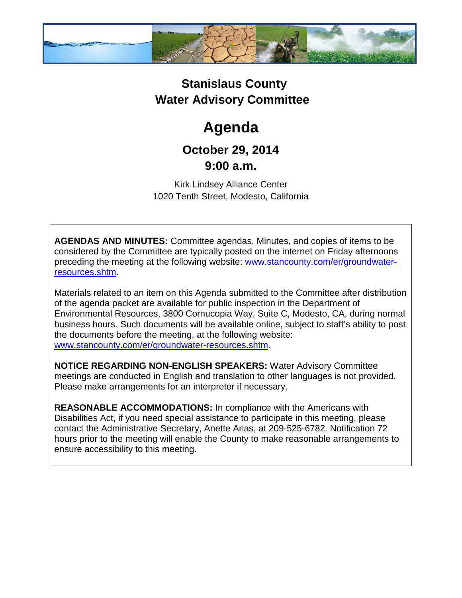

## **Stanislaus County Water Advisory Committee**

## **Agenda**

## **October 29, 2014 9:00 a.m.**

Kirk Lindsey Alliance Center 1020 Tenth Street, Modesto, California

**AGENDAS AND MINUTES:** Committee agendas, Minutes, and copies of items to be considered by the Committee are typically posted on the internet on Friday afternoons preceding the meeting at the following website: [www.stancounty.com/er/groundwater](http://www.stancounty.com/er/groundwater-resources.shtm)[resources.shtm.](http://www.stancounty.com/er/groundwater-resources.shtm)

Materials related to an item on this Agenda submitted to the Committee after distribution of the agenda packet are available for public inspection in the Department of Environmental Resources, 3800 Cornucopia Way, Suite C, Modesto, CA, during normal business hours. Such documents will be available online, subject to staff's ability to post the documents before the meeting, at the following website: [www.stancounty.com/er/groundwater-resources.shtm.](http://www.stancounty.com/er/groundwater-resources.shtm)

**NOTICE REGARDING NON-ENGLISH SPEAKERS:** Water Advisory Committee meetings are conducted in English and translation to other languages is not provided. Please make arrangements for an interpreter if necessary.

**REASONABLE ACCOMMODATIONS:** In compliance with the Americans with Disabilities Act, if you need special assistance to participate in this meeting, please contact the Administrative Secretary, Anette Arias, at 209-525-6782. Notification 72 hours prior to the meeting will enable the County to make reasonable arrangements to ensure accessibility to this meeting.